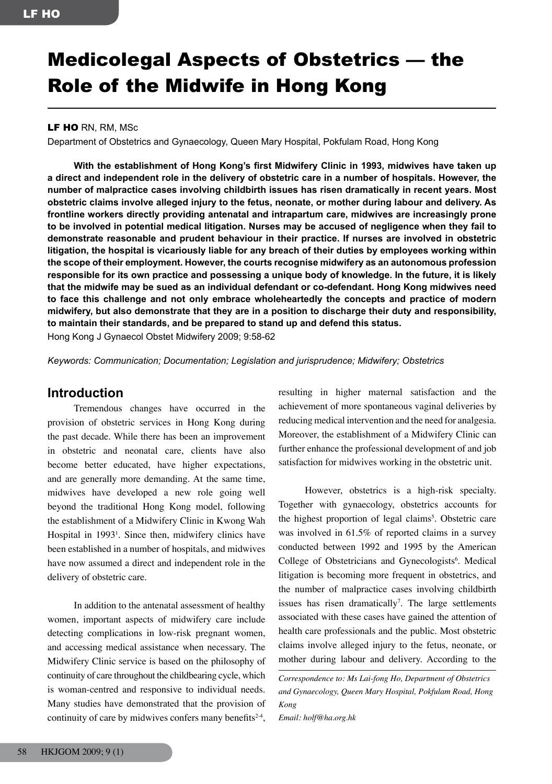# Medicolegal Aspects of Obstetrics — the Role of the Midwife in Hong Kong

### LF HO RN, RM, MSc

Department of Obstetrics and Gynaecology, Queen Mary Hospital, Pokfulam Road, Hong Kong

 **With the establishment of Hong Kong's first Midwifery Clinic in 1993, midwives have taken up** a direct and independent role in the delivery of obstetric care in a number of hospitals. However, the **number of malpractice cases involving childbirth issues has risen dramatically in recent years. Most obstetric claims involve alleged injury to the fetus, neonate, or mother during labour and delivery. As frontline workers directly providing antenatal and intrapartum care, midwives are increasingly prone to be involved in potential medical litigation. Nurses may be accused of negligence when they fail to demonstrate reasonable and prudent behaviour in their practice. If nurses are involved in obstetric litigation, the hospital is vicariously liable for any breach of their duties by employees working within the scope of their employment. However, the courts recognise midwifery as an autonomous profession** responsible for its own practice and possessing a unique body of knowledge. In the future, it is likely **that the midwife may be sued as an individual defendant or co-defendant. Hong Kong midwives need to face this challenge and not only embrace wholeheartedly the concepts and practice of modern midwifery, but also demonstrate that they are in a position to discharge their duty and responsibility, to maintain their standards, and be prepared to stand up and defend this status.** Hong Kong J Gynaecol Obstet Midwifery 2009; 9:58-62

*Keywords: Communication; Documentation; Legislation and jurisprudence; Midwifery; Obstetrics*

## **Introduction**

Tremendous changes have occurred in the provision of obstetric services in Hong Kong during the past decade. While there has been an improvement in obstetric and neonatal care, clients have also become better educated, have higher expectations, and are generally more demanding. At the same time, midwives have developed a new role going well beyond the traditional Hong Kong model, following the establishment of a Midwifery Clinic in Kwong Wah Hospital in 1993<sup>1</sup>. Since then, midwifery clinics have been established in a number of hospitals, and midwives have now assumed a direct and independent role in the delivery of obstetric care.

In addition to the antenatal assessment of healthy women, important aspects of midwifery care include detecting complications in low-risk pregnant women, and accessing medical assistance when necessary. The Midwifery Clinic service is based on the philosophy of continuity of care throughout the childbearing cycle, which is woman-centred and responsive to individual needs. Many studies have demonstrated that the provision of continuity of care by midwives confers many benefits<sup>2-4</sup>,

resulting in higher maternal satisfaction and the achievement of more spontaneous vaginal deliveries by reducing medical intervention and the need for analgesia. Moreover, the establishment of a Midwifery Clinic can further enhance the professional development of and job satisfaction for midwives working in the obstetric unit.

However, obstetrics is a high-risk specialty. Together with gynaecology, obstetrics accounts for the highest proportion of legal claims<sup>5</sup>. Obstetric care was involved in 61.5% of reported claims in a survey conducted between 1992 and 1995 by the American College of Obstetricians and Gynecologists<sup>6</sup>. Medical litigation is becoming more frequent in obstetrics, and the number of malpractice cases involving childbirth issues has risen dramatically<sup>7</sup>. The large settlements associated with these cases have gained the attention of health care professionals and the public. Most obstetric claims involve alleged injury to the fetus, neonate, or mother during labour and delivery. According to the

*Correspondence to: Ms Lai-fong Ho, Department of Obstetrics and Gynaecology, Queen Mary Hospital, Pokfulam Road, Hong Kong*

*Email: holf@ha.org.hk*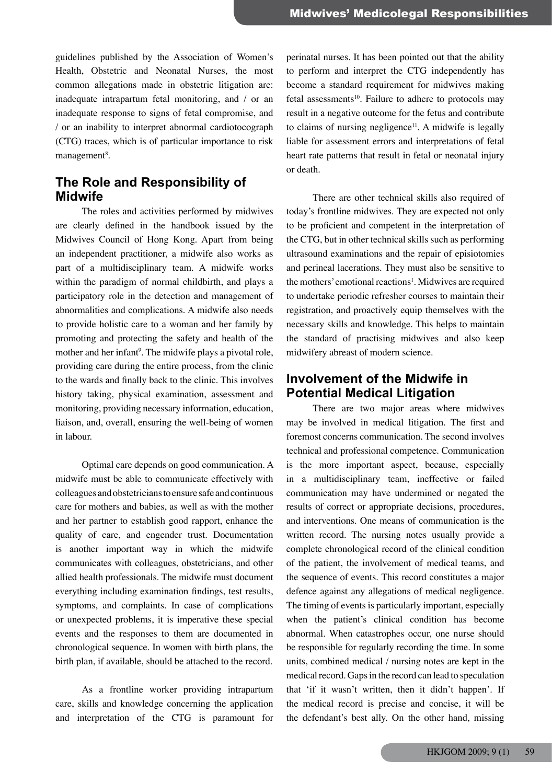guidelines published by the Association of Women's Health, Obstetric and Neonatal Nurses, the most common allegations made in obstetric litigation are: inadequate intrapartum fetal monitoring, and / or an inadequate response to signs of fetal compromise, and / or an inability to interpret abnormal cardiotocograph (CTG) traces, which is of particular importance to risk management<sup>8</sup>.

# **The Role and Responsibility of Midwife**

The roles and activities performed by midwives are clearly defined in the handbook issued by the Midwives Council of Hong Kong. Apart from being an independent practitioner, a midwife also works as part of a multidisciplinary team. A midwife works within the paradigm of normal childbirth, and plays a participatory role in the detection and management of abnormalities and complications. A midwife also needs to provide holistic care to a woman and her family by promoting and protecting the safety and health of the mother and her infant<sup>9</sup>. The midwife plays a pivotal role, providing care during the entire process, from the clinic to the wards and finally back to the clinic. This involves history taking, physical examination, assessment and monitoring, providing necessary information, education, liaison, and, overall, ensuring the well-being of women in labour.

Optimal care depends on good communication. A midwife must be able to communicate effectively with colleagues and obstetricians to ensure safe and continuous care for mothers and babies, as well as with the mother and her partner to establish good rapport, enhance the quality of care, and engender trust. Documentation is another important way in which the midwife communicates with colleagues, obstetricians, and other allied health professionals. The midwife must document everything including examination findings, test results, symptoms, and complaints. In case of complications or unexpected problems, it is imperative these special events and the responses to them are documented in chronological sequence. In women with birth plans, the birth plan, if available, should be attached to the record.

As a frontline worker providing intrapartum care, skills and knowledge concerning the application and interpretation of the CTG is paramount for

perinatal nurses. It has been pointed out that the ability to perform and interpret the CTG independently has become a standard requirement for midwives making fetal assessments<sup>10</sup>. Failure to adhere to protocols may result in a negative outcome for the fetus and contribute to claims of nursing negligence<sup>11</sup>. A midwife is legally liable for assessment errors and interpretations of fetal heart rate patterns that result in fetal or neonatal injury or death.

There are other technical skills also required of today's frontline midwives. They are expected not only to be proficient and competent in the interpretation of the CTG, but in other technical skills such as performing ultrasound examinations and the repair of episiotomies and perineal lacerations. They must also be sensitive to the mothers' emotional reactions<sup>1</sup>. Midwives are required to undertake periodic refresher courses to maintain their registration, and proactively equip themselves with the necessary skills and knowledge. This helps to maintain the standard of practising midwives and also keep midwifery abreast of modern science.

# **Involvement of the Midwife in Potential Medical Litigation**

There are two major areas where midwives may be involved in medical litigation. The first and foremost concerns communication. The second involves technical and professional competence. Communication is the more important aspect, because, especially in a multidisciplinary team, ineffective or failed communication may have undermined or negated the results of correct or appropriate decisions, procedures, and interventions. One means of communication is the written record. The nursing notes usually provide a complete chronological record of the clinical condition of the patient, the involvement of medical teams, and the sequence of events. This record constitutes a major defence against any allegations of medical negligence. The timing of events is particularly important, especially when the patient's clinical condition has become abnormal. When catastrophes occur, one nurse should be responsible for regularly recording the time. In some units, combined medical / nursing notes are kept in the medical record. Gaps in the record can lead to speculation that 'if it wasn't written, then it didn't happen'. If the medical record is precise and concise, it will be the defendant's best ally. On the other hand, missing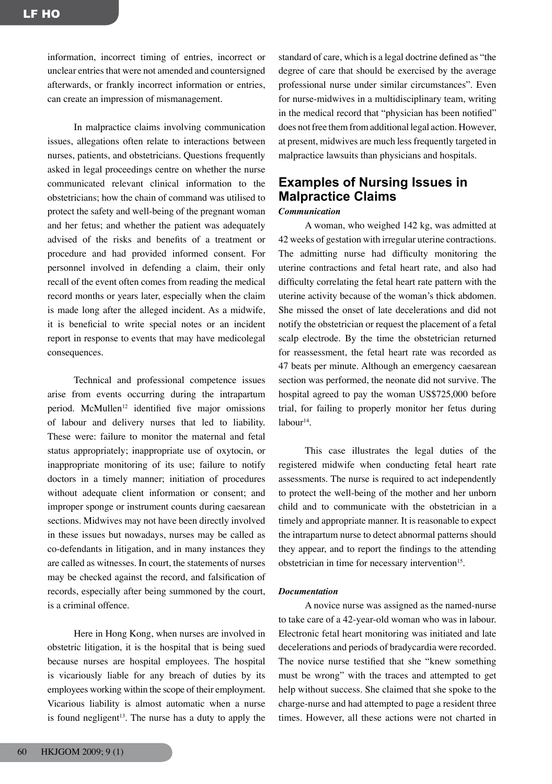information, incorrect timing of entries, incorrect or unclear entries that were not amended and countersigned afterwards, or frankly incorrect information or entries, can create an impression of mismanagement.

In malpractice claims involving communication issues, allegations often relate to interactions between nurses, patients, and obstetricians. Questions frequently asked in legal proceedings centre on whether the nurse communicated relevant clinical information to the obstetricians; how the chain of command was utilised to protect the safety and well-being of the pregnant woman and her fetus; and whether the patient was adequately advised of the risks and benefits of a treatment or procedure and had provided informed consent. For personnel involved in defending a claim, their only recall of the event often comes from reading the medical record months or years later, especially when the claim is made long after the alleged incident. As a midwife, it is beneficial to write special notes or an incident report in response to events that may have medicolegal consequences.

Technical and professional competence issues arise from events occurring during the intrapartum period. McMullen<sup>12</sup> identified five major omissions of labour and delivery nurses that led to liability. These were: failure to monitor the maternal and fetal status appropriately; inappropriate use of oxytocin, or inappropriate monitoring of its use; failure to notify doctors in a timely manner; initiation of procedures without adequate client information or consent; and improper sponge or instrument counts during caesarean sections. Midwives may not have been directly involved in these issues but nowadays, nurses may be called as co-defendants in litigation, and in many instances they are called as witnesses. In court, the statements of nurses may be checked against the record, and falsification of records, especially after being summoned by the court, is a criminal offence.

Here in Hong Kong, when nurses are involved in obstetric litigation, it is the hospital that is being sued because nurses are hospital employees. The hospital is vicariously liable for any breach of duties by its employees working within the scope of their employment. Vicarious liability is almost automatic when a nurse is found negligent<sup>13</sup>. The nurse has a duty to apply the

standard of care, which is a legal doctrine defined as "the degree of care that should be exercised by the average professional nurse under similar circumstances". Even for nurse-midwives in a multidisciplinary team, writing in the medical record that "physician has been notified" does not free them from additional legal action. However, at present, midwives are much less frequently targeted in malpractice lawsuits than physicians and hospitals.

# **Examples of Nursing Issues in Malpractice Claims**

#### *Communication*

A woman, who weighed 142 kg, was admitted at 42 weeks of gestation with irregular uterine contractions. The admitting nurse had difficulty monitoring the uterine contractions and fetal heart rate, and also had difficulty correlating the fetal heart rate pattern with the uterine activity because of the woman's thick abdomen. She missed the onset of late decelerations and did not notify the obstetrician or request the placement of a fetal scalp electrode. By the time the obstetrician returned for reassessment, the fetal heart rate was recorded as 47 beats per minute. Although an emergency caesarean section was performed, the neonate did not survive. The hospital agreed to pay the woman US\$725,000 before trial, for failing to properly monitor her fetus during  $l$ abour $14$ .

This case illustrates the legal duties of the registered midwife when conducting fetal heart rate assessments. The nurse is required to act independently to protect the well-being of the mother and her unborn child and to communicate with the obstetrician in a timely and appropriate manner. It is reasonable to expect the intrapartum nurse to detect abnormal patterns should they appear, and to report the findings to the attending obstetrician in time for necessary intervention<sup>15</sup>.

#### *Documentation*

A novice nurse was assigned as the named-nurse to take care of a 42-year-old woman who was in labour. Electronic fetal heart monitoring was initiated and late decelerations and periods of bradycardia were recorded. The novice nurse testified that she "knew something must be wrong" with the traces and attempted to get help without success. She claimed that she spoke to the charge-nurse and had attempted to page a resident three times. However, all these actions were not charted in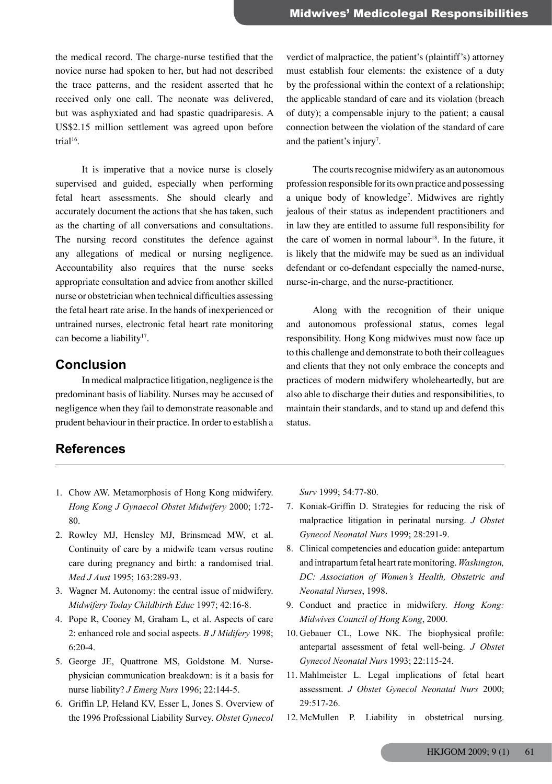the medical record. The charge-nurse testified that the novice nurse had spoken to her, but had not described the trace patterns, and the resident asserted that he received only one call. The neonate was delivered, but was asphyxiated and had spastic quadriparesis. A US\$2.15 million settlement was agreed upon before trial $16$ .

It is imperative that a novice nurse is closely supervised and guided, especially when performing fetal heart assessments. She should clearly and accurately document the actions that she has taken, such as the charting of all conversations and consultations. The nursing record constitutes the defence against any allegations of medical or nursing negligence. Accountability also requires that the nurse seeks appropriate consultation and advice from another skilled nurse or obstetrician when technical difficulties assessing the fetal heart rate arise. In the hands of inexperienced or untrained nurses, electronic fetal heart rate monitoring can become a liability<sup>17</sup>.

## **Conclusion**

In medical malpractice litigation, negligence is the predominant basis of liability. Nurses may be accused of negligence when they fail to demonstrate reasonable and prudent behaviour in their practice. In order to establish a

# **References**

verdict of malpractice, the patient's (plaintiff's) attorney must establish four elements: the existence of a duty by the professional within the context of a relationship; the applicable standard of care and its violation (breach of duty); a compensable injury to the patient; a causal connection between the violation of the standard of care and the patient's injury<sup>7</sup>.

The courts recognise midwifery as an autonomous profession responsible for its own practice and possessing a unique body of knowledge<sup>7</sup>. Midwives are rightly jealous of their status as independent practitioners and in law they are entitled to assume full responsibility for the care of women in normal labour<sup>18</sup>. In the future, it is likely that the midwife may be sued as an individual defendant or co-defendant especially the named-nurse, nurse-in-charge, and the nurse-practitioner.

Along with the recognition of their unique and autonomous professional status, comes legal responsibility. Hong Kong midwives must now face up to this challenge and demonstrate to both their colleagues and clients that they not only embrace the concepts and practices of modern midwifery wholeheartedly, but are also able to discharge their duties and responsibilities, to maintain their standards, and to stand up and defend this status.

- 1. Chow AW. Metamorphosis of Hong Kong midwifery. *Hong Kong J Gynaecol Obstet Midwifery* 2000; 1:72- 80.
- 2. Rowley MJ, Hensley MJ, Brinsmead MW, et al. Continuity of care by a midwife team versus routine care during pregnancy and birth: a randomised trial. *Med J Aust* 1995; 163:289-93.
- 3. Wagner M. Autonomy: the central issue of midwifery. *Midwifery Today Childbirth Educ* 1997; 42:16-8.
- 4. Pope R, Cooney M, Graham L, et al. Aspects of care 2: enhanced role and social aspects. *B J Midifery* 1998; 6:20-4.
- 5. George JE, Quattrone MS, Goldstone M. Nursephysician communication breakdown: is it a basis for nurse liability? *J Emerg Nurs* 1996; 22:144-5.
- 6. Griffin LP, Heland KV, Esser L, Jones S. Overview of the 1996 Professional Liability Survey. *Obstet Gynecol*

*Surv* 1999; 54:77-80.

- 7. Koniak-Griffin D. Strategies for reducing the risk of malpractice litigation in perinatal nursing. *J Obstet Gynecol Neonatal Nurs* 1999; 28:291-9.
- 8. Clinical competencies and education guide: antepartum and intrapartum fetal heart rate monitoring. *Washington, DC: Association of Women's Health, Obstetric and Neonatal Nurses*, 1998.
- 9. Conduct and practice in midwifery. *Hong Kong: Midwives Council of Hong Kong*, 2000.
- 10. Gebauer CL, Lowe NK. The biophysical profile: antepartal assessment of fetal well-being. *J Obstet Gynecol Neonatal Nurs* 1993; 22:115-24.
- 11. Mahlmeister L. Legal implications of fetal heart assessment. *J Obstet Gynecol Neonatal Nurs* 2000; 29:517-26.
- 12. McMullen P. Liability in obstetrical nursing.